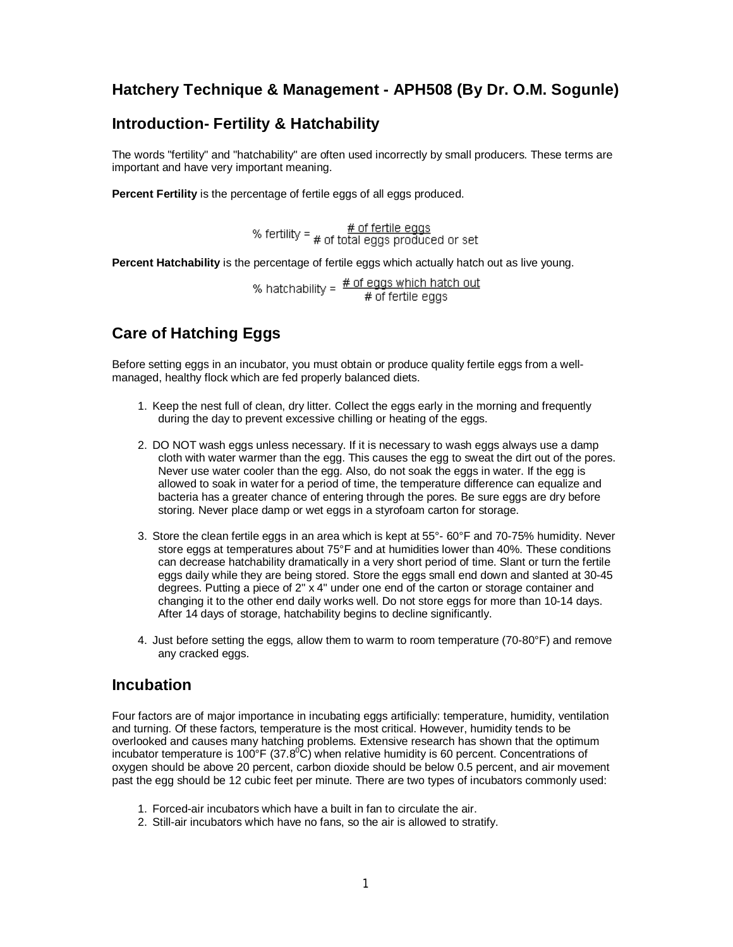### **Hatchery Technique & Management - APH508 (By Dr. O.M. Sogunle)**

### **Introduction- Fertility & Hatchability**

The words "fertility" and "hatchability" are often used incorrectly by small producers. These terms are important and have very important meaning.

**Percent Fertility** is the percentage of fertile eggs of all eggs produced.

% fertility =  $\frac{\text{# of fertile eggs}}{\text{# of total eggs produced or set}}$ 

**Percent Hatchability** is the percentage of fertile eggs which actually hatch out as live young.

% hatchability =  $\frac{\text{# of eggs which hatch out}}{\text{# of fertile eggs}}$ 

# **Care of Hatching Eggs**

Before setting eggs in an incubator, you must obtain or produce quality fertile eggs from a wellmanaged, healthy flock which are fed properly balanced diets.

- 1. Keep the nest full of clean, dry litter. Collect the eggs early in the morning and frequently during the day to prevent excessive chilling or heating of the eggs.
- 2. DO NOT wash eggs unless necessary. If it is necessary to wash eggs always use a damp cloth with water warmer than the egg. This causes the egg to sweat the dirt out of the pores. Never use water cooler than the egg. Also, do not soak the eggs in water. If the egg is allowed to soak in water for a period of time, the temperature difference can equalize and bacteria has a greater chance of entering through the pores. Be sure eggs are dry before storing. Never place damp or wet eggs in a styrofoam carton for storage.
- 3. Store the clean fertile eggs in an area which is kept at 55°- 60°F and 70-75% humidity. Never store eggs at temperatures about 75°F and at humidities lower than 40%. These conditions can decrease hatchability dramatically in a very short period of time. Slant or turn the fertile eggs daily while they are being stored. Store the eggs small end down and slanted at 30-45 degrees. Putting a piece of 2" x 4" under one end of the carton or storage container and changing it to the other end daily works well. Do not store eggs for more than 10-14 days. After 14 days of storage, hatchability begins to decline significantly.
- 4. Just before setting the eggs, allow them to warm to room temperature (70-80°F) and remove any cracked eggs.

#### **Incubation**

Four factors are of major importance in incubating eggs artificially: temperature, humidity, ventilation and turning. Of these factors, temperature is the most critical. However, humidity tends to be overlooked and causes many hatching problems. Extensive research has shown that the optimum incubator temperature is 100 $\mathrm{P}F(37.8^{\circ}C)$  when relative humidity is 60 percent. Concentrations of oxygen should be above 20 percent, carbon dioxide should be below 0.5 percent, and air movement past the egg should be 12 cubic feet per minute. There are two types of incubators commonly used:

- 1. Forced-air incubators which have a built in fan to circulate the air.
- 2. Still-air incubators which have no fans, so the air is allowed to stratify.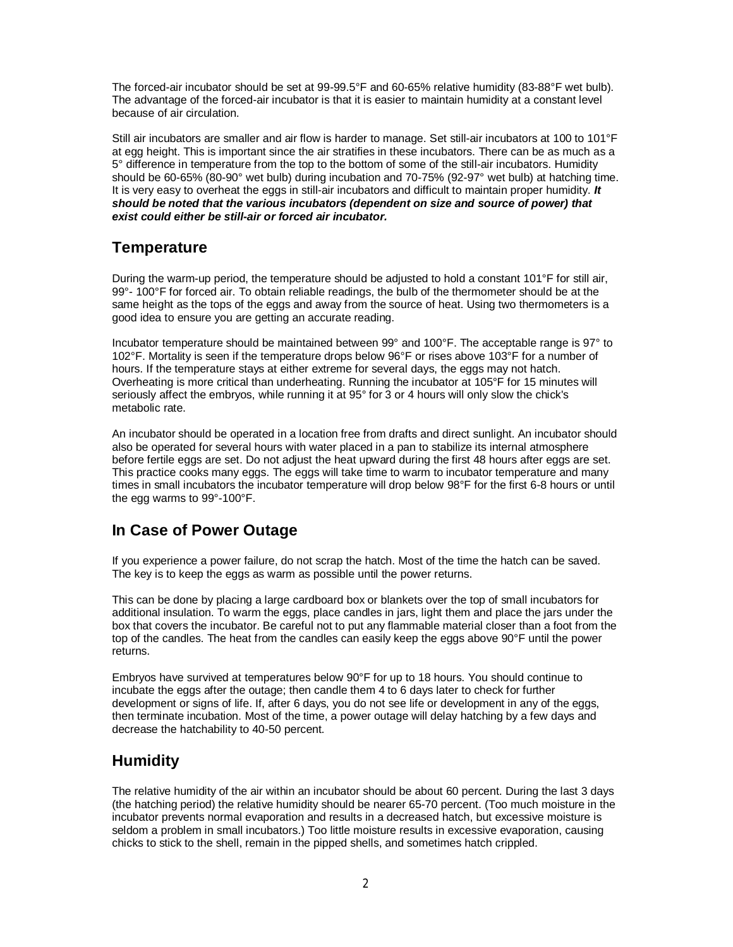The forced-air incubator should be set at 99-99.5°F and 60-65% relative humidity (83-88°F wet bulb). The advantage of the forced-air incubator is that it is easier to maintain humidity at a constant level because of air circulation.

Still air incubators are smaller and air flow is harder to manage. Set still-air incubators at 100 to 101°F at egg height. This is important since the air stratifies in these incubators. There can be as much as a 5° difference in temperature from the top to the bottom of some of the still-air incubators. Humidity should be 60-65% (80-90° wet bulb) during incubation and 70-75% (92-97° wet bulb) at hatching time. It is very easy to overheat the eggs in still-air incubators and difficult to maintain proper humidity. *It should be noted that the various incubators (dependent on size and source of power) that exist could either be still-air or forced air incubator.*

#### **Temperature**

During the warm-up period, the temperature should be adjusted to hold a constant 101°F for still air, 99°- 100°F for forced air. To obtain reliable readings, the bulb of the thermometer should be at the same height as the tops of the eggs and away from the source of heat. Using two thermometers is a good idea to ensure you are getting an accurate reading.

Incubator temperature should be maintained between 99° and 100°F. The acceptable range is 97° to 102°F. Mortality is seen if the temperature drops below 96°F or rises above 103°F for a number of hours. If the temperature stays at either extreme for several days, the eggs may not hatch. Overheating is more critical than underheating. Running the incubator at 105°F for 15 minutes will seriously affect the embryos, while running it at 95° for 3 or 4 hours will only slow the chick's metabolic rate.

An incubator should be operated in a location free from drafts and direct sunlight. An incubator should also be operated for several hours with water placed in a pan to stabilize its internal atmosphere before fertile eggs are set. Do not adjust the heat upward during the first 48 hours after eggs are set. This practice cooks many eggs. The eggs will take time to warm to incubator temperature and many times in small incubators the incubator temperature will drop below 98°F for the first 6-8 hours or until the egg warms to 99°-100°F.

### **In Case of Power Outage**

If you experience a power failure, do not scrap the hatch. Most of the time the hatch can be saved. The key is to keep the eggs as warm as possible until the power returns.

This can be done by placing a large cardboard box or blankets over the top of small incubators for additional insulation. To warm the eggs, place candles in jars, light them and place the jars under the box that covers the incubator. Be careful not to put any flammable material closer than a foot from the top of the candles. The heat from the candles can easily keep the eggs above 90°F until the power returns.

Embryos have survived at temperatures below 90°F for up to 18 hours. You should continue to incubate the eggs after the outage; then candle them 4 to 6 days later to check for further development or signs of life. If, after 6 days, you do not see life or development in any of the eggs, then terminate incubation. Most of the time, a power outage will delay hatching by a few days and decrease the hatchability to 40-50 percent.

### **Humidity**

The relative humidity of the air within an incubator should be about 60 percent. During the last 3 days (the hatching period) the relative humidity should be nearer 65-70 percent. (Too much moisture in the incubator prevents normal evaporation and results in a decreased hatch, but excessive moisture is seldom a problem in small incubators.) Too little moisture results in excessive evaporation, causing chicks to stick to the shell, remain in the pipped shells, and sometimes hatch crippled.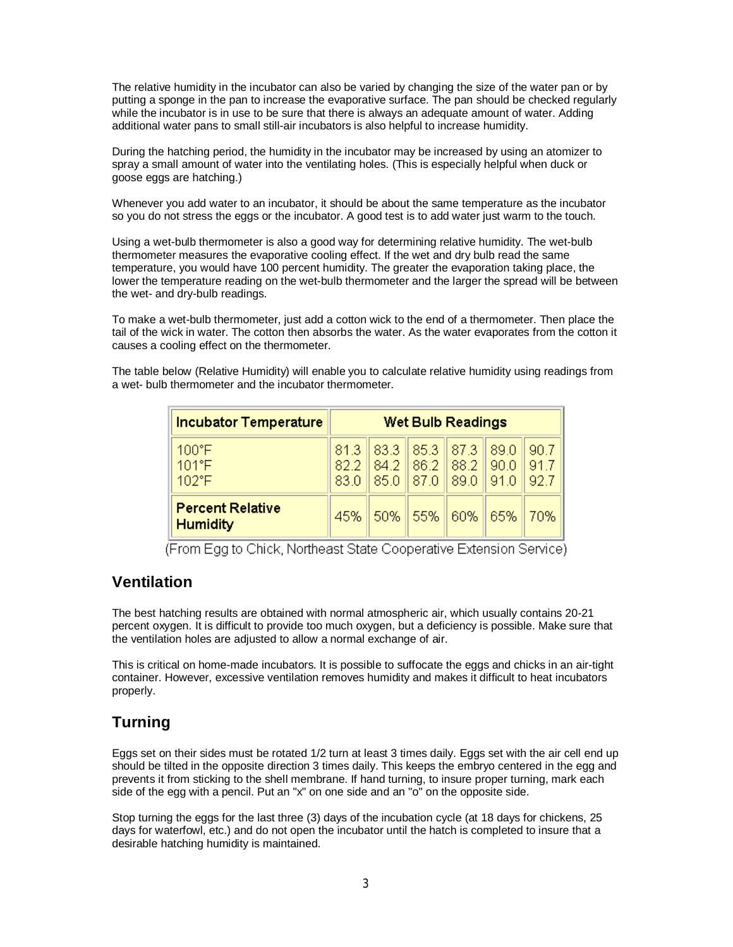The relative humidity in the incubator can also be varied by changing the size of the water pan or by putting a sponge in the pan to increase the evaporative surface. The pan should be checked regularly while the incubator is in use to be sure that there is always an adequate amount of water. Adding additional water pans to small still-air incubators is also helpful to increase humidity.

During the hatching period, the humidity in the incubator may be increased by using an atomizer to spray a small amount of water into the ventilating holes. (This is especially helpful when duck or goose eggs are hatching.)

Whenever you add water to an incubator, it should be about the same temperature as the incubator so you do not stress the eggs or the incubator. A good test is to add water just warm to the touch.

Using a wet-bulb thermometer is also a good way for determining relative humidity. The wet-bulb thermometer measures the evaporative cooling effect. If the wet and dry bulb read the same temperature, you would have 100 percent humidity. The greater the evaporation taking place, the lower the temperature reading on the wet-bulb thermometer and the larger the spread will be between the wet- and dry-bulb readings.

To make a wet-bulb thermometer, just add a cotton wick to the end of a thermometer. Then place the tail of the wick in water. The cotton then absorbs the water. As the water evaporates from the cotton it causes a cooling effect on the thermometer.

The table below (Relative Humidity) will enable you to calculate relative humidity using readings from a wet- bulb thermometer and the incubator thermometer.

| <b>Incubator Temperature</b>               | <b>Wet Bulb Readings</b> |                                                              |      |      |      |             |
|--------------------------------------------|--------------------------|--------------------------------------------------------------|------|------|------|-------------|
| 100°F<br>101°F<br>$102^{\circ}F$           | 83.0                     | 81.3 83.3 85.3 87.3 89.0<br>82.2 84.2 86.2 88.2 90.0<br>85.0 | 87.0 | 89.0 | 91.0 | 90.7<br>91. |
| <b>Percent Relative</b><br><b>Humidity</b> | 45%                      | 50%                                                          | 55%  | 60%  | 65%  | 70%         |

(From Egg to Chick, Northeast State Cooperative Extension Service)

### **Ventilation**

The best hatching results are obtained with normal atmospheric air, which usually contains 20-21 percent oxygen. It is difficult to provide too much oxygen, but a deficiency is possible. Make sure that the ventilation holes are adjusted to allow a normal exchange of air.

This is critical on home-made incubators. It is possible to suffocate the eggs and chicks in an air-tight container. However, excessive ventilation removes humidity and makes it difficult to heat incubators properly.

## **Turning**

Eggs set on their sides must be rotated 1/2 turn at least 3 times daily. Eggs set with the air cell end up should be tilted in the opposite direction 3 times daily. This keeps the embryo centered in the egg and prevents it from sticking to the shell membrane. If hand turning, to insure proper turning, mark each side of the egg with a pencil. Put an "x" on one side and an "o" on the opposite side.

Stop turning the eggs for the last three (3) days of the incubation cycle (at 18 days for chickens, 25 days for waterfowl, etc.) and do not open the incubator until the hatch is completed to insure that a desirable hatching humidity is maintained.